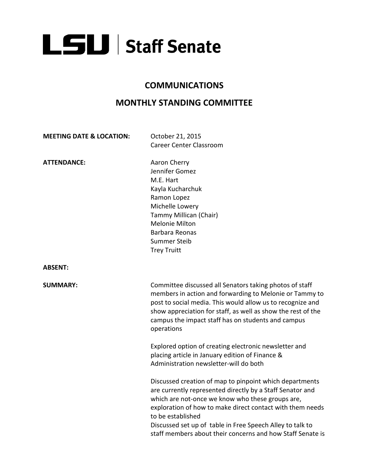

## **COMMUNICATIONS**

## **MONTHLY STANDING COMMITTEE**

**MEETING DATE & LOCATION:** October 21, 2015

**ATTENDANCE:** Aaron Cherry

Career Center Classroom

Jennifer Gomez M.E. Hart Kayla Kucharchuk Ramon Lopez Michelle Lowery Tammy Millican (Chair) Melonie Milton Barbara Reonas Summer Steib Trey Truitt

**ABSENT:**

**SUMMARY: Committee discussed all Senators taking photos of staff** members in action and forwarding to Melonie or Tammy to post to social media. This would allow us to recognize and show appreciation for staff, as well as show the rest of the campus the impact staff has on students and campus operations

> Explored option of creating electronic newsletter and placing article in January edition of Finance & Administration newsletter-will do both

Discussed creation of map to pinpoint which departments are currently represented directly by a Staff Senator and which are not-once we know who these groups are, exploration of how to make direct contact with them needs to be established Discussed set up of table in Free Speech Alley to talk to staff members about their concerns and how Staff Senate is